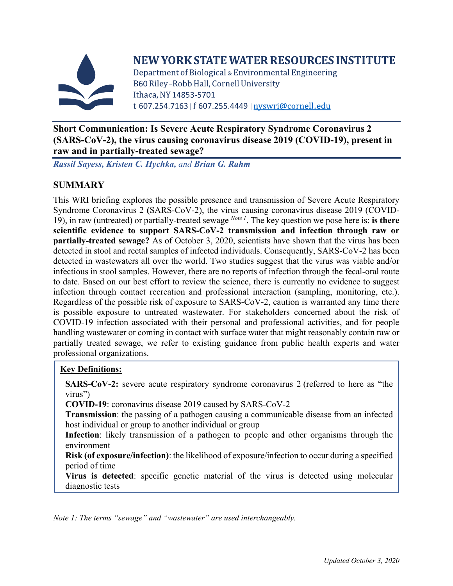

# NEW YORK STATE WATER RESOURCES INSTITUTE

Department of Biological & Environmental Engineering B60 Riley-Robb Hall, Cornell University Ithaca. NY 14853-5701 t 607.254.7163 | f 607.255.4449 | nyswri@cornell.edu

#### **Short Communication: Is Severe Acute Respiratory Syndrome Coronavirus 2 (SARS-CoV-2), the virus causing coronavirus disease 2019 (COVID-19), present in raw and in partially-treated sewage?**

*Rassil Sayess, Kristen C. Hychka, and Brian G. Rahm*

# **SUMMARY**

This WRI briefing explores the possible presence and transmission of Severe Acute Respiratory Syndrome Coronavirus 2 **(**SARS-CoV-2), the virus causing coronavirus disease 2019 (COVID-19), in raw (untreated) or partially-treated sewage *Note 1*. The key question we pose here is: **is there scientific evidence to support SARS-CoV-2 transmission and infection through raw or partially-treated sewage?** As of October 3, 2020, scientists have shown that the virus has been detected in stool and rectal samples of infected individuals. Consequently, SARS-CoV-2 has been detected in wastewaters all over the world. Two studies suggest that the virus was viable and/or infectious in stool samples. However, there are no reports of infection through the fecal-oral route to date. Based on our best effort to review the science, there is currently no evidence to suggest infection through contact recreation and professional interaction (sampling, monitoring, etc.). Regardless of the possible risk of exposure to SARS-CoV-2, caution is warranted any time there is possible exposure to untreated wastewater. For stakeholders concerned about the risk of COVID-19 infection associated with their personal and professional activities, and for people handling wastewater or coming in contact with surface water that might reasonably contain raw or partially treated sewage, we refer to existing guidance from public health experts and water professional organizations.

### **Key Definitions:**

**SARS-CoV-2:** severe acute respiratory syndrome coronavirus 2 (referred to here as "the virus")

**COVID-19**: coronavirus disease 2019 caused by SARS-CoV-2

**Transmission**: the passing of a pathogen causing a communicable disease from an infected host individual or group to another individual or group

**Infection**: likely transmission of a pathogen to people and other organisms through the environment

**Risk (of exposure/infection)**: the likelihood of exposure/infection to occur during a specified period of time

**Virus is detected**: specific genetic material of the virus is detected using molecular diagnostic tests

*Note 1: The terms "sewage" and "wastewater" are used interchangeably.*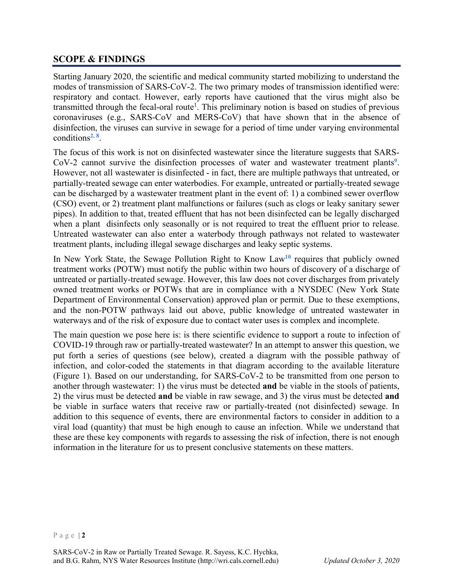#### **SCOPE & FINDINGS**

Starting January 2020, the scientific and medical community started mobilizing to understand the modes of transmission of SARS-CoV-2. The two primary modes of transmission identified were: respiratory and contact. However, early reports have cautioned that the virus might also be transmitted through the fecal-oral route<sup>1</sup>. This preliminary notion is based on studies of previous coronaviruses (e.g., SARS-CoV and MERS-CoV) that have shown that in the absence of disinfection, the viruses can survive in sewage for a period of time under varying environmental conditions**[2,](#page-5-1) [8](#page-5-2)** .

The focus of this work is not on disinfected wastewater since the literature suggests that SARS-CoV-2 cannot survive the disinfection processes of water and wastewater treatment plants**[9](#page-5-3)**. However, not all wastewater is disinfected - in fact, there are multiple pathways that untreated, or partially-treated sewage can enter waterbodies. For example, untreated or partially-treated sewage can be discharged by a wastewater treatment plant in the event of: 1) a combined sewer overflow (CSO) event, or 2) treatment plant malfunctions or failures (such as clogs or leaky sanitary sewer pipes). In addition to that, treated effluent that has not been disinfected can be legally discharged when a plant disinfects only seasonally or is not required to treat the effluent prior to release. Untreated wastewater can also enter a waterbody through pathways not related to wastewater treatment plants, including illegal sewage discharges and leaky septic systems.

In New York State, the Sewage Pollution Right to Know Law**[10](#page-5-4)** requires that publicly owned treatment works (POTW) must notify the public within two hours of discovery of a discharge of untreated or partially-treated sewage. However, this law does not cover discharges from privately owned treatment works or POTWs that are in compliance with a NYSDEC (New York State Department of Environmental Conservation) approved plan or permit. Due to these exemptions, and the non-POTW pathways laid out above, public knowledge of untreated wastewater in waterways and of the risk of exposure due to contact water uses is complex and incomplete.

The main question we pose here is: is there scientific evidence to support a route to infection of COVID-19 through raw or partially-treated wastewater? In an attempt to answer this question, we put forth a series of questions (see below), created a diagram with the possible pathway of infection, and color-coded the statements in that diagram according to the available literature (Figure 1). Based on our understanding, for SARS-CoV-2 to be transmitted from one person to another through wastewater: 1) the virus must be detected **and** be viable in the stools of patients, 2) the virus must be detected **and** be viable in raw sewage, and 3) the virus must be detected **and** be viable in surface waters that receive raw or partially-treated (not disinfected) sewage. In addition to this sequence of events, there are environmental factors to consider in addition to a viral load (quantity) that must be high enough to cause an infection. While we understand that these are these key components with regards to assessing the risk of infection, there is not enough information in the literature for us to present conclusive statements on these matters.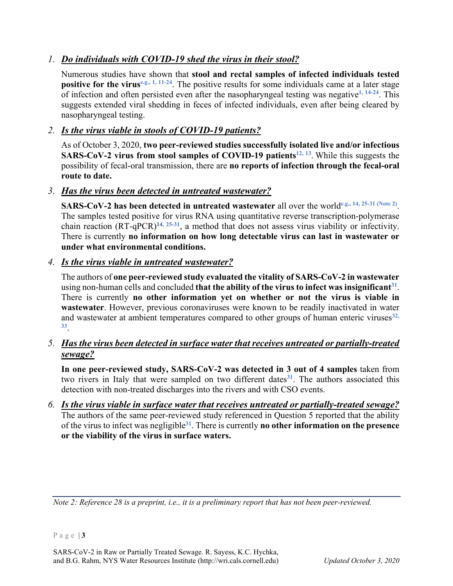### *1. Do individuals with COVID-19 shed the virus in their stool?*

Numerous studies have shown that **stool and rectal samples of infected individuals tested positive for the virus**<sup>e.g., [1,](#page-5-0) [11-](#page-5-5)[24](#page-5-6). The positive results for some individuals came at a later stage</sup> of infection and often persisted even after the nasopharyngeal testing was negative**[1,](#page-5-0) [14-](#page-5-7)[24](#page-5-6)**. This suggests extended viral shedding in feces of infected individuals, even after being cleared by nasopharyngeal testing.

# *2. Is the virus viable in stools of COVID-19 patients?*

As of October 3, 2020, **two peer-reviewed studies successfully isolated live and/or infectious SARS-CoV-2 virus from stool samples of COVID-19 patients<sup>12, [13](#page-5-9)</sup>. While this suggests the** possibility of fecal-oral transmission, there are **no reports of infection through the fecal-oral route to date.** 

# *3. Has the virus been detected in untreated wastewater?*

**SARS-CoV-2 has been detected in untreated wastewater** all over the world**e.g.[, 14,](#page-5-7) [25](#page-5-10)[-31](#page-5-11) (Note 2)**. The samples tested positive for virus RNA using quantitative reverse transcription-polymerase chain reaction (RT-qPCR)**[14,](#page-5-7) [25-](#page-5-10)[31](#page-5-11)**, a method that does not assess virus viability or infectivity. There is currently **no information on how long detectable virus can last in wastewater or under what environmental conditions.**

### *4. Is the virus viable in untreated wastewater?*

The authors of **one peer-reviewed study evaluated the vitality of SARS-CoV-2 in wastewater** using non-human cells and concluded **that the ability of the virus to infect was insignifican[t31](#page-5-11)**. There is currently **no other information yet on whether or not the virus is viable in wastewater**. However, previous coronaviruses were known to be readily inactivated in water and wastewater at ambient temperatures compared to other groups of human enteric viruses<sup>[32,](#page-5-12)</sup> **[33](#page-5-13)**.

# *5. Has the virus been detected in surface water that receives untreated or partially-treated sewage?*

**In one peer-reviewed study, SARS-CoV-2 was detected in 3 out of 4 samples** taken from two rivers in Italy that were sampled on two different dates<sup>[31](#page-5-11)</sup>. The authors associated this detection with non-treated discharges into the rivers and with CSO events.

*6. Is the virus viable in surface water that receives untreated or partially-treated sewage?* The authors of the same peer-reviewed study referenced in Question 5 reported that the ability of the virus to infect was negligible**[31](#page-5-11)**. There is currently **no other information on the presence or the viability of the virus in surface waters.**

*Note 2: Reference 28 is a preprint, i.e., it is a preliminary report that has not been peer-reviewed.*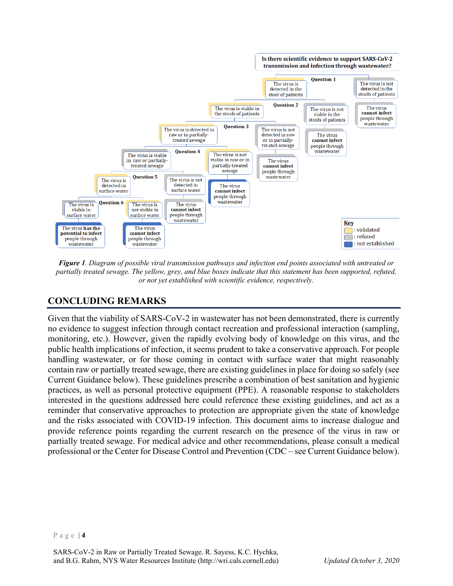

*Figure 1. Diagram of possible viral transmission pathways and infection end points associated with untreated or partially treated sewage. The yellow, grey, and blue boxes indicate that this statement has been supported, refuted, or not yet established with scientific evidence, respectively.*

# **CONCLUDING REMARKS**

Given that the viability of SARS-CoV-2 in wastewater has not been demonstrated, there is currently no evidence to suggest infection through contact recreation and professional interaction (sampling, monitoring, etc.). However, given the rapidly evolving body of knowledge on this virus, and the public health implications of infection, it seems prudent to take a conservative approach. For people handling wastewater, or for those coming in contact with surface water that might reasonably contain raw or partially treated sewage, there are existing guidelines in place for doing so safely (see Current Guidance below). These guidelines prescribe a combination of best sanitation and hygienic practices, as well as personal protective equipment (PPE). A reasonable response to stakeholders interested in the questions addressed here could reference these existing guidelines, and act as a reminder that conservative approaches to protection are appropriate given the state of knowledge and the risks associated with COVID-19 infection. This document aims to increase dialogue and provide reference points regarding the current research on the presence of the virus in raw or partially treated sewage. For medical advice and other recommendations, please consult a medical professional or the Center for Disease Control and Prevention (CDC – see Current Guidance below).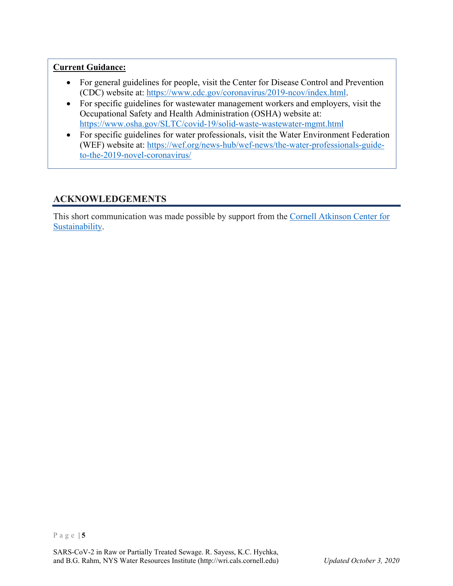#### **Current Guidance:**

- For general guidelines for people, visit the Center for Disease Control and Prevention (CDC) website at: [https://www.cdc.gov/coronavirus/2019-ncov/index.html.](https://www.cdc.gov/coronavirus/2019-ncov/index.html)
- For specific guidelines for wastewater management workers and employers, visit the Occupational Safety and Health Administration (OSHA) website at: <https://www.osha.gov/SLTC/covid-19/solid-waste-wastewater-mgmt.html>
- For specific guidelines for water professionals, visit the Water Environment Federation (WEF) website at: [https://wef.org/news-hub/wef-news/the-water-professionals-guide](https://wef.org/news-hub/wef-news/the-water-professionals-guide-to-the-2019-novel-coronavirus/)[to-the-2019-novel-coronavirus/](https://wef.org/news-hub/wef-news/the-water-professionals-guide-to-the-2019-novel-coronavirus/)

# **ACKNOWLEDGEMENTS**

This short communication was made possible by support from the [Cornell Atkinson Center](https://www.atkinson.cornell.edu/) for [Sustainability.](https://www.atkinson.cornell.edu/)